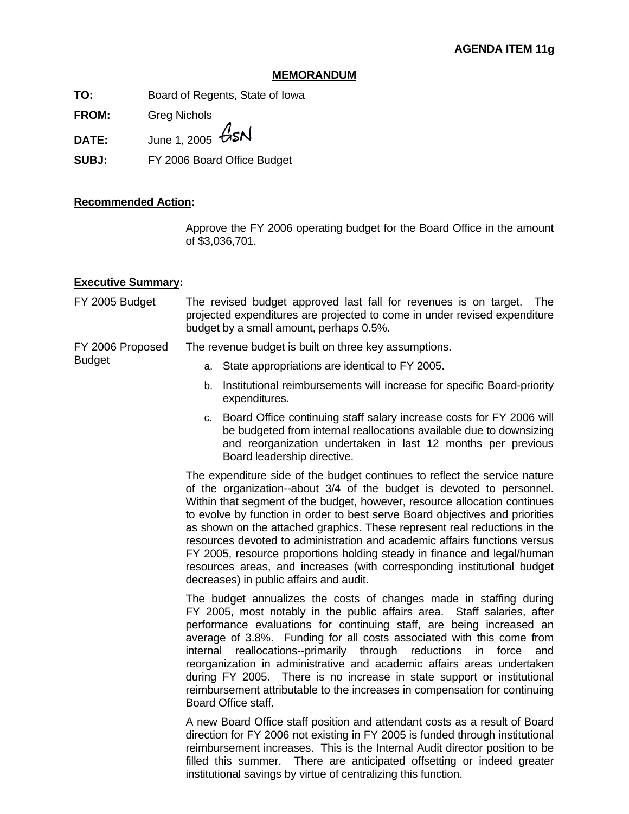## **MEMORANDUM**

**TO:** Board of Regents, State of Iowa

**FROM:** Greg Nichols

**DATE:** June 1, 2005  $\cancel{G}$ SN

**SUBJ:** FY 2006 Board Office Budget

## **Recommended Action:**

Approve the FY 2006 operating budget for the Board Office in the amount of \$3,036,701.

## **Executive Summary:**

| FY 2005 Budget                    | The revised budget approved last fall for revenues is on target. The<br>projected expenditures are projected to come in under revised expenditure<br>budget by a small amount, perhaps 0.5%.                                                                                                                                                                                                                                                                                                                                                                                                                                                                                |  |  |  |
|-----------------------------------|-----------------------------------------------------------------------------------------------------------------------------------------------------------------------------------------------------------------------------------------------------------------------------------------------------------------------------------------------------------------------------------------------------------------------------------------------------------------------------------------------------------------------------------------------------------------------------------------------------------------------------------------------------------------------------|--|--|--|
| FY 2006 Proposed<br><b>Budget</b> | The revenue budget is built on three key assumptions.                                                                                                                                                                                                                                                                                                                                                                                                                                                                                                                                                                                                                       |  |  |  |
|                                   | State appropriations are identical to FY 2005.<br>а.                                                                                                                                                                                                                                                                                                                                                                                                                                                                                                                                                                                                                        |  |  |  |
|                                   | Institutional reimbursements will increase for specific Board-priority<br>b.<br>expenditures.                                                                                                                                                                                                                                                                                                                                                                                                                                                                                                                                                                               |  |  |  |
|                                   | c. Board Office continuing staff salary increase costs for FY 2006 will<br>be budgeted from internal reallocations available due to downsizing<br>and reorganization undertaken in last 12 months per previous<br>Board leadership directive.                                                                                                                                                                                                                                                                                                                                                                                                                               |  |  |  |
|                                   | The expenditure side of the budget continues to reflect the service nature<br>of the organization--about 3/4 of the budget is devoted to personnel.<br>Within that segment of the budget, however, resource allocation continues<br>to evolve by function in order to best serve Board objectives and priorities<br>as shown on the attached graphics. These represent real reductions in the<br>resources devoted to administration and academic affairs functions versus<br>FY 2005, resource proportions holding steady in finance and legal/human<br>resources areas, and increases (with corresponding institutional budget<br>decreases) in public affairs and audit. |  |  |  |
|                                   | The budget annualizes the costs of changes made in staffing during<br>FY 2005, most notably in the public affairs area. Staff salaries, after<br>performance evaluations for continuing staff, are being increased an<br>average of 3.8%. Funding for all costs associated with this come from<br>internal reallocations--primarily through reductions<br>in<br>force<br>and<br>reorganization in administrative and academic affairs areas undertaken<br>during FY 2005. There is no increase in state support or institutional<br>reimbursement attributable to the increases in compensation for continuing<br>Board Office staff.                                       |  |  |  |
|                                   | A new Board Office staff position and attendant costs as a result of Board<br>direction for FY 2006 not existing in FY 2005 is funded through institutional<br>reimbursement increases. This is the Internal Audit director position to be<br>There are anticipated offsetting or indeed greater<br>filled this summer.<br>institutional savings by virtue of centralizing this function.                                                                                                                                                                                                                                                                                   |  |  |  |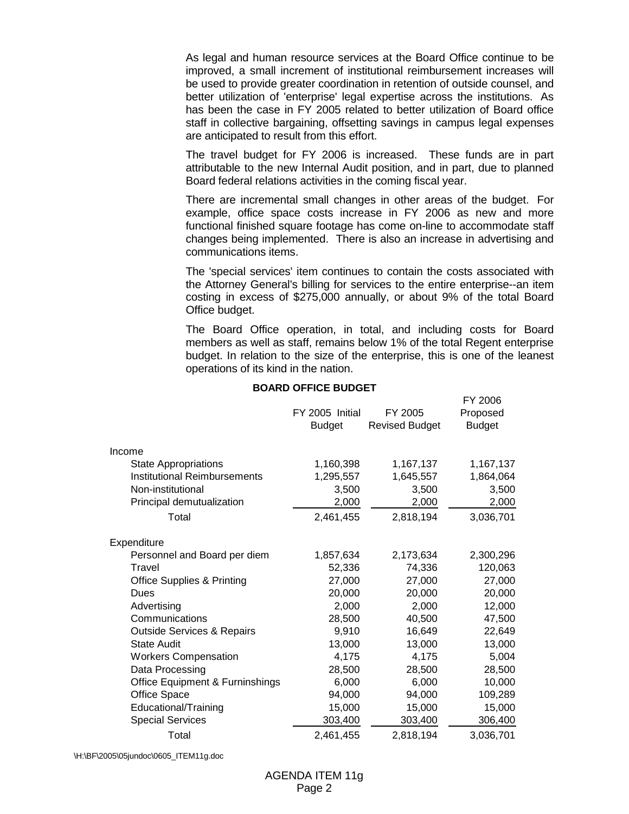As legal and human resource services at the Board Office continue to be improved, a small increment of institutional reimbursement increases will be used to provide greater coordination in retention of outside counsel, and better utilization of 'enterprise' legal expertise across the institutions. As has been the case in FY 2005 related to better utilization of Board office staff in collective bargaining, offsetting savings in campus legal expenses are anticipated to result from this effort.

 The travel budget for FY 2006 is increased. These funds are in part attributable to the new Internal Audit position, and in part, due to planned Board federal relations activities in the coming fiscal year.

 There are incremental small changes in other areas of the budget. For example, office space costs increase in FY 2006 as new and more functional finished square footage has come on-line to accommodate staff changes being implemented. There is also an increase in advertising and communications items.

 The 'special services' item continues to contain the costs associated with the Attorney General's billing for services to the entire enterprise--an item costing in excess of \$275,000 annually, or about 9% of the total Board Office budget.

 The Board Office operation, in total, and including costs for Board members as well as staff, remains below 1% of the total Regent enterprise budget. In relation to the size of the enterprise, this is one of the leanest operations of its kind in the nation.

 $FV$ 2006

|                                            | FY 2005 Initial<br><b>Budget</b> | FY 2005<br><b>Revised Budget</b> | <b>1 L ZUUU</b><br>Proposed<br><b>Budget</b> |
|--------------------------------------------|----------------------------------|----------------------------------|----------------------------------------------|
| Income                                     |                                  |                                  |                                              |
| <b>State Appropriations</b>                | 1,160,398                        | 1,167,137                        | 1,167,137                                    |
| <b>Institutional Reimbursements</b>        | 1,295,557                        | 1,645,557                        | 1,864,064                                    |
| Non-institutional                          | 3,500                            | 3,500                            | 3,500                                        |
| Principal demutualization                  | 2,000                            | 2,000                            | 2,000                                        |
| Total                                      | 2,461,455                        | 2,818,194                        | 3,036,701                                    |
| Expenditure                                |                                  |                                  |                                              |
| Personnel and Board per diem               | 1,857,634                        | 2,173,634                        | 2,300,296                                    |
| Travel                                     | 52,336                           | 74,336                           | 120,063                                      |
| <b>Office Supplies &amp; Printing</b>      | 27,000                           | 27,000                           | 27,000                                       |
| Dues                                       | 20,000                           | 20,000                           | 20,000                                       |
| Advertising                                | 2,000                            | 2,000                            | 12,000                                       |
| Communications                             | 28,500                           | 40,500                           | 47,500                                       |
| <b>Outside Services &amp; Repairs</b>      | 9,910                            | 16,649                           | 22,649                                       |
| <b>State Audit</b>                         | 13,000                           | 13,000                           | 13,000                                       |
| <b>Workers Compensation</b>                | 4,175                            | 4,175                            | 5,004                                        |
| Data Processing                            | 28,500                           | 28,500                           | 28,500                                       |
| <b>Office Equipment &amp; Furninshings</b> | 6,000                            | 6,000                            | 10,000                                       |
| Office Space                               | 94,000                           | 94,000                           | 109,289                                      |
| Educational/Training                       | 15,000                           | 15,000                           | 15,000                                       |
| <b>Special Services</b>                    | 303,400                          | 303,400                          | 306,400                                      |
| Total                                      | 2,461,455                        | 2,818,194                        | 3,036,701                                    |

**BOARD OFFICE BUDGET**

\H:\BF\2005\05jundoc\0605\_ITEM11g.doc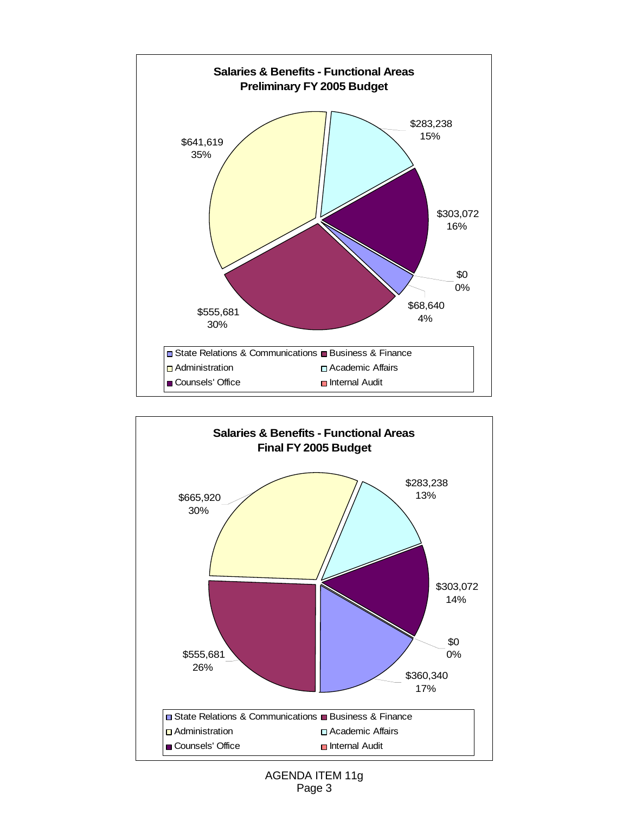



## AGENDA ITEM 11g Page 3